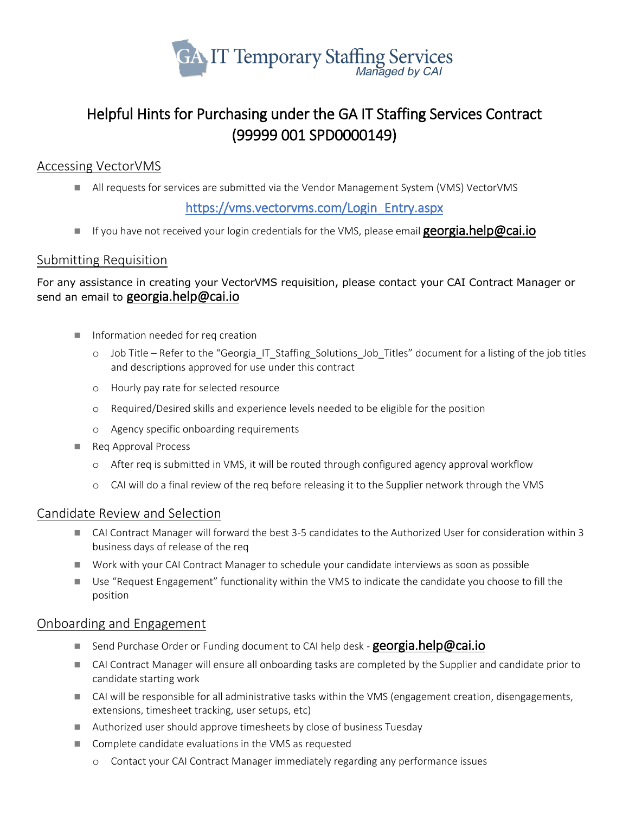

# Helpful Hints for Purchasing under the GA IT Staffing Services Contract (99999 001 SPD0000149)

## Accessing VectorVMS

◼ All requests for services are submitted via the Vendor Management System (VMS) VectorVMS

## [https://vms.vectorvms.com/Login\\_Entry.aspx](https://vms.vectorvms.com/Login_Entry.aspx)

 $\blacksquare$  If you have not received your login credentials for the VMS, please email [georgia.help@cai.io](mailto:georgia.help@cai.io)

### Submitting Requisition

#### For any assistance in creating your VectorVMS requisition, please contact your CAI Contract Manager or send an email to georgia.help@cai.io

- Information needed for req creation
	- o Job Title Refer to the "Georgia\_IT\_Staffing\_Solutions\_Job\_Titles" document for a listing of the job titles and descriptions approved for use under this contract
	- o Hourly pay rate for selected resource
	- o Required/Desired skills and experience levels needed to be eligible for the position
	- o Agency specific onboarding requirements
- Req Approval Process
	- o After req is submitted in VMS, it will be routed through configured agency approval workflow
	- o CAI will do a final review of the req before releasing it to the Supplier network through the VMS

#### Candidate Review and Selection

- CAI Contract Manager will forward the best 3-5 candidates to the Authorized User for consideration within 3 business days of release of the req
- Work with your CAI Contract Manager to schedule your candidate interviews as soon as possible
- Use "Request Engagement" functionality within the VMS to indicate the candidate you choose to fill the position

### Onboarding and Engagement

- Send Purchase Order or Funding document to CAI help desk **[georgia.help@cai.io](mailto:georgia.help@cai.io)**
- CAI Contract Manager will ensure all onboarding tasks are completed by the Supplier and candidate prior to candidate starting work
- CAI will be responsible for all administrative tasks within the VMS (engagement creation, disengagements, extensions, timesheet tracking, user setups, etc)
- Authorized user should approve timesheets by close of business Tuesday
- Complete candidate evaluations in the VMS as requested
	- o Contact your CAI Contract Manager immediately regarding any performance issues